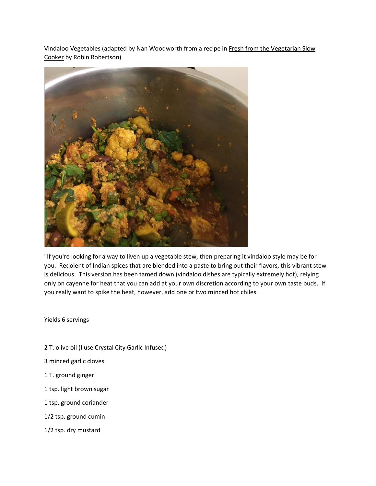Vindaloo Vegetables (adapted by Nan Woodworth from a recipe in Fresh from the Vegetarian Slow Cooker by Robin Robertson)



"If you're looking for a way to liven up a vegetable stew, then preparing it vindaloo style may be for you. Redolent of Indian spices that are blended into a paste to bring out their flavors, this vibrant stew is delicious. This version has been tamed down (vindaloo dishes are typically extremely hot), relying only on cayenne for heat that you can add at your own discretion according to your own taste buds. If you really want to spike the heat, however, add one or two minced hot chiles.

Yields 6 servings

- 2 T. olive oil (I use Crystal City Garlic Infused)
- 3 minced garlic cloves
- 1 T. ground ginger
- 1 tsp. light brown sugar
- 1 tsp. ground coriander
- 1/2 tsp. ground cumin
- 1/2 tsp. dry mustard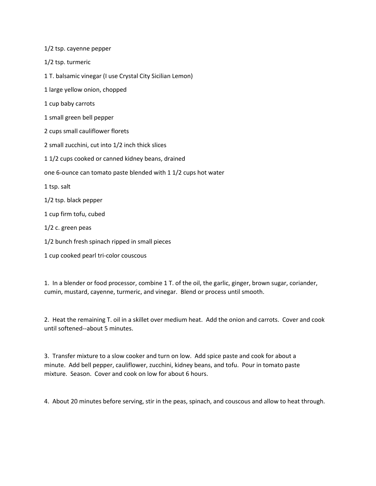| 1/2 tsp. cayenne pepper                                        |
|----------------------------------------------------------------|
| 1/2 tsp. turmeric                                              |
| 1 T. balsamic vinegar (I use Crystal City Sicilian Lemon)      |
| 1 large yellow onion, chopped                                  |
| 1 cup baby carrots                                             |
| 1 small green bell pepper                                      |
| 2 cups small cauliflower florets                               |
| 2 small zucchini, cut into 1/2 inch thick slices               |
| 11/2 cups cooked or canned kidney beans, drained               |
| one 6-ounce can tomato paste blended with 1 1/2 cups hot water |
| 1 tsp. salt                                                    |
| 1/2 tsp. black pepper                                          |
| 1 cup firm tofu, cubed                                         |
| $1/2$ c. green peas                                            |
| 1/2 bunch fresh spinach ripped in small pieces                 |
| 1 cup cooked pearl tri-color couscous                          |

1. In a blender or food processor, combine 1 T. of the oil, the garlic, ginger, brown sugar, coriander, cumin, mustard, cayenne, turmeric, and vinegar. Blend or process until smooth.

2. Heat the remaining T. oil in a skillet over medium heat. Add the onion and carrots. Cover and cook until softened--about 5 minutes.

3. Transfer mixture to a slow cooker and turn on low. Add spice paste and cook for about a minute. Add bell pepper, cauliflower, zucchini, kidney beans, and tofu. Pour in tomato paste mixture. Season. Cover and cook on low for about 6 hours.

4. About 20 minutes before serving, stir in the peas, spinach, and couscous and allow to heat through.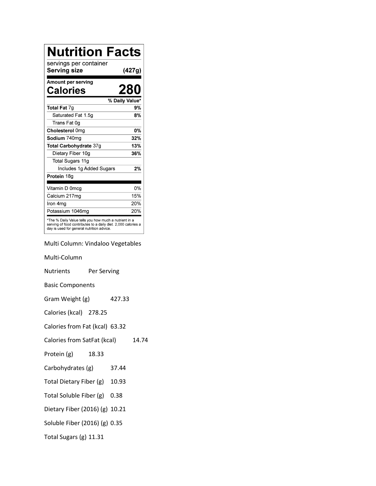| <b>Nutrition Facts</b>                                                                                                                                              |                |
|---------------------------------------------------------------------------------------------------------------------------------------------------------------------|----------------|
| servings per container<br>Serving size                                                                                                                              | (427g)         |
| Amount per serving<br>Calories                                                                                                                                      | 280            |
|                                                                                                                                                                     | % Daily Value* |
| Total Fat 7g                                                                                                                                                        | 9%             |
| Saturated Fat 1.5q                                                                                                                                                  | 8%             |
| Trans Fat 0g                                                                                                                                                        |                |
| Cholesterol 0mg                                                                                                                                                     | <b>0%</b>      |
| Sodium 740mg                                                                                                                                                        | 32%            |
| Total Carbohydrate 37g                                                                                                                                              | 13%            |
| Dietary Fiber 10g                                                                                                                                                   | 36%            |
| Total Sugars 11g                                                                                                                                                    |                |
| Includes 1g Added Sugars                                                                                                                                            | 2%             |
| Protein 18g                                                                                                                                                         |                |
| Vitamin D 0mcq                                                                                                                                                      | 0%             |
| Calcium 217mg                                                                                                                                                       | 15%            |
| Iron 4ma                                                                                                                                                            | 20%            |
| Potassium 1046mq                                                                                                                                                    | 20%            |
| *The % Daily Value tells you how much a nutrient in a<br>serving of food contributes to a daily diet. 2,000 calories a<br>day is used for general nutrition advice. |                |

Multi Column: Vindaloo Vegetables

| Multi-Column                   |             |        |  |
|--------------------------------|-------------|--------|--|
| <b>Nutrients</b>               | Per Serving |        |  |
| <b>Basic Components</b>        |             |        |  |
| Gram Weight (g)                |             | 427.33 |  |
| Calories (kcal) 278.25         |             |        |  |
| Calories from Fat (kcal) 63.32 |             |        |  |
| Calories from SatFat (kcal)    |             |        |  |
| Protein (g)                    | 18.33       |        |  |
| Carbohydrates (g)              |             | 37.44  |  |
| Total Dietary Fiber (g)        |             | 10.93  |  |
| Total Soluble Fiber (g)        |             | 0.38   |  |
| Dietary Fiber (2016) (g) 10.21 |             |        |  |
| Soluble Fiber (2016) (g) 0.35  |             |        |  |
| Total Sugars (g) 11.31         |             |        |  |
|                                |             |        |  |

 $14.74$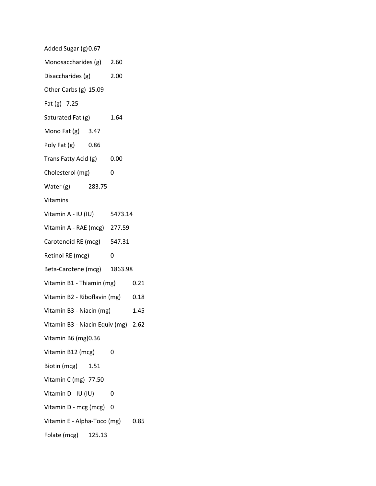| Added Sugar (g) 0.67                |        |      |      |
|-------------------------------------|--------|------|------|
| Monosaccharides (g) 2.60            |        |      |      |
| Disaccharides (g) 2.00              |        |      |      |
| Other Carbs (g) 15.09               |        |      |      |
| Fat (g) 7.25                        |        |      |      |
| Saturated Fat (g)                   |        | 1.64 |      |
| Mono Fat (g) 3.47                   |        |      |      |
| Poly Fat (g) 0.86                   |        |      |      |
| Trans Fatty Acid (g) 0.00           |        |      |      |
| Cholesterol (mg)                    |        | 0    |      |
| Water (g) 283.75                    |        |      |      |
| Vitamins                            |        |      |      |
| Vitamin A - IU (IU) 5473.14         |        |      |      |
| Vitamin A - RAE (mcg) 277.59        |        |      |      |
| Carotenoid RE (mcg) 547.31          |        |      |      |
| Retinol RE (mcg)                    |        | 0    |      |
| Beta-Carotene (mcg) 1863.98         |        |      |      |
| Vitamin B1 - Thiamin (mg) 0.21      |        |      |      |
| Vitamin B2 - Riboflavin (mg) 0.18   |        |      |      |
| Vitamin B3 - Niacin (mg)            |        |      | 1.45 |
| Vitamin B3 - Niacin Equiv (mg) 2.62 |        |      |      |
| Vitamin B6 (mg) 0.36                |        |      |      |
| Vitamin B12 (mcg)                   |        | 0    |      |
| Biotin (mcg)                        | 1.51   |      |      |
| Vitamin C (mg) 77.50                |        |      |      |
| Vitamin D - IU (IU)                 |        | 0    |      |
| Vitamin D - mcg (mcg)               |        | 0    |      |
| Vitamin E - Alpha-Toco (mg)         |        |      | 0.85 |
| Folate (mcg)                        | 125.13 |      |      |